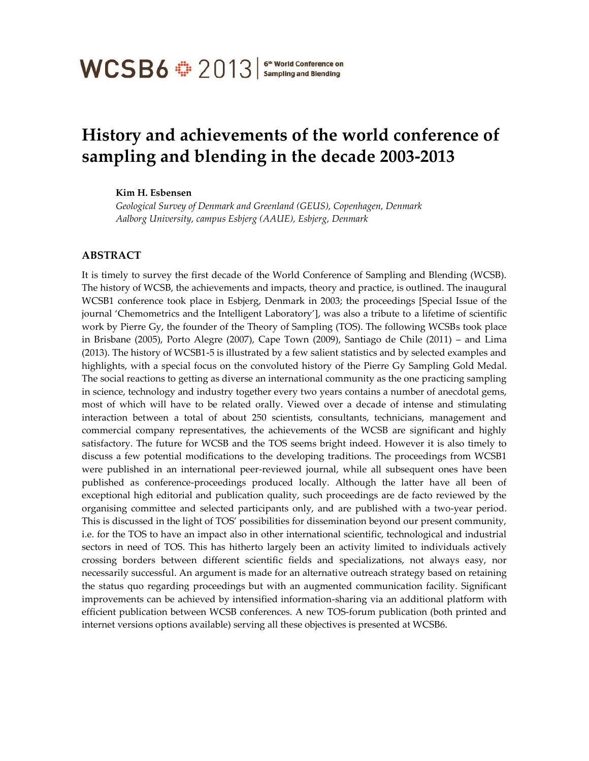### **History and achievements of the world conference of sampling and blending in the decade 2003-2013**

#### **Kim H. Esbensen**

*Geological Survey of Denmark and Greenland (GEUS), Copenhagen, Denmark Aalborg University, campus Esbjerg (AAUE), Esbjerg, Denmark*

#### **ABSTRACT**

It is timely to survey the first decade of the World Conference of Sampling and Blending (WCSB). The history of WCSB, the achievements and impacts, theory and practice, is outlined. The inaugural WCSB1 conference took place in Esbjerg, Denmark in 2003; the proceedings [Special Issue of the journal 'Chemometrics and the Intelligent Laboratory'], was also a tribute to a lifetime of scientific work by Pierre Gy, the founder of the Theory of Sampling (TOS). The following WCSBs took place in Brisbane (2005), Porto Alegre (2007), Cape Town (2009), Santiago de Chile (2011) – and Lima (2013). The history of WCSB1-5 is illustrated by a few salient statistics and by selected examples and highlights, with a special focus on the convoluted history of the Pierre Gy Sampling Gold Medal. The social reactions to getting as diverse an international community as the one practicing sampling in science, technology and industry together every two years contains a number of anecdotal gems, most of which will have to be related orally. Viewed over a decade of intense and stimulating interaction between a total of about 250 scientists, consultants, technicians, management and commercial company representatives, the achievements of the WCSB are significant and highly satisfactory. The future for WCSB and the TOS seems bright indeed. However it is also timely to discuss a few potential modifications to the developing traditions. The proceedings from WCSB1 were published in an international peer-reviewed journal, while all subsequent ones have been published as conference-proceedings produced locally. Although the latter have all been of exceptional high editorial and publication quality, such proceedings are de facto reviewed by the organising committee and selected participants only, and are published with a two-year period. This is discussed in the light of TOS' possibilities for dissemination beyond our present community, i.e. for the TOS to have an impact also in other international scientific, technological and industrial sectors in need of TOS. This has hitherto largely been an activity limited to individuals actively crossing borders between different scientific fields and specializations, not always easy, nor necessarily successful. An argument is made for an alternative outreach strategy based on retaining the status quo regarding proceedings but with an augmented communication facility. Significant improvements can be achieved by intensified information-sharing via an additional platform with efficient publication between WCSB conferences. A new TOS-forum publication (both printed and internet versions options available) serving all these objectives is presented at WCSB6.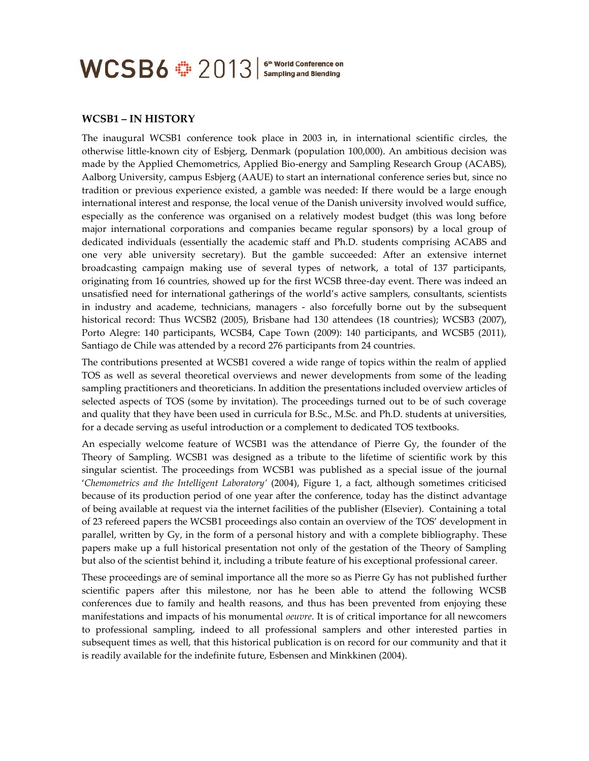### **WCSB1 – IN HISTORY**

The inaugural WCSB1 conference took place in 2003 in, in international scientific circles, the otherwise little-known city of Esbjerg, Denmark (population 100,000). An ambitious decision was made by the Applied Chemometrics, Applied Bio-energy and Sampling Research Group (ACABS), Aalborg University, campus Esbjerg (AAUE) to start an international conference series but, since no tradition or previous experience existed, a gamble was needed: If there would be a large enough international interest and response, the local venue of the Danish university involved would suffice, especially as the conference was organised on a relatively modest budget (this was long before major international corporations and companies became regular sponsors) by a local group of dedicated individuals (essentially the academic staff and Ph.D. students comprising ACABS and one very able university secretary). But the gamble succeeded: After an extensive internet broadcasting campaign making use of several types of network, a total of 137 participants, originating from 16 countries, showed up for the first WCSB three-day event. There was indeed an unsatisfied need for international gatherings of the world's active samplers, consultants, scientists in industry and academe, technicians, managers - also forcefully borne out by the subsequent historical record: Thus WCSB2 (2005), Brisbane had 130 attendees (18 countries); WCSB3 (2007), Porto Alegre: 140 participants, WCSB4, Cape Town (2009): 140 participants, and WCSB5 (2011), Santiago de Chile was attended by a record 276 participants from 24 countries.

The contributions presented at WCSB1 covered a wide range of topics within the realm of applied TOS as well as several theoretical overviews and newer developments from some of the leading sampling practitioners and theoreticians. In addition the presentations included overview articles of selected aspects of TOS (some by invitation). The proceedings turned out to be of such coverage and quality that they have been used in curricula for B.Sc., M.Sc. and Ph.D. students at universities, for a decade serving as useful introduction or a complement to dedicated TOS textbooks.

An especially welcome feature of WCSB1 was the attendance of Pierre Gy, the founder of the Theory of Sampling. WCSB1 was designed as a tribute to the lifetime of scientific work by this singular scientist. The proceedings from WCSB1 was published as a special issue of the journal '*Chemometrics and the Intelligent Laboratory'* (2004), Figure 1, a fact, although sometimes criticised because of its production period of one year after the conference, today has the distinct advantage of being available at request via the internet facilities of the publisher (Elsevier). Containing a total of 23 refereed papers the WCSB1 proceedings also contain an overview of the TOS' development in parallel, written by Gy, in the form of a personal history and with a complete bibliography. These papers make up a full historical presentation not only of the gestation of the Theory of Sampling but also of the scientist behind it, including a tribute feature of his exceptional professional career.

These proceedings are of seminal importance all the more so as Pierre Gy has not published further scientific papers after this milestone, nor has he been able to attend the following WCSB conferences due to family and health reasons, and thus has been prevented from enjoying these manifestations and impacts of his monumental *oeuvre*. It is of critical importance for all newcomers to professional sampling, indeed to all professional samplers and other interested parties in subsequent times as well, that this historical publication is on record for our community and that it is readily available for the indefinite future, Esbensen and Minkkinen (2004).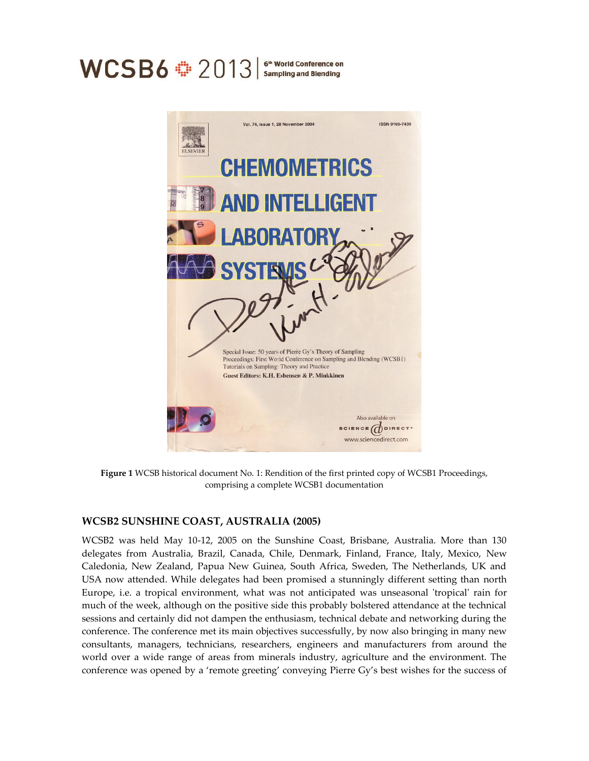#### WCSB6 $\div$ 2013 6<sup>th</sup> World Conference on Sampling and Blending



**Figure 1** WCSB historical document No. 1: Rendition of the first printed copy of WCSB1 Proceedings, comprising a complete WCSB1 documentation

#### **WCSB2 SUNSHINE COAST, AUSTRALIA (2005)**

WCSB2 was held May 10-12, 2005 on the Sunshine Coast, Brisbane, Australia. More than 130 delegates from Australia, Brazil, Canada, Chile, Denmark, Finland, France, Italy, Mexico, New Caledonia, New Zealand, Papua New Guinea, South Africa, Sweden, The Netherlands, UK and USA now attended. While delegates had been promised a stunningly different setting than north Europe, i.e. a tropical environment, what was not anticipated was unseasonal 'tropical' rain for much of the week, although on the positive side this probably bolstered attendance at the technical sessions and certainly did not dampen the enthusiasm, technical debate and networking during the conference. The conference met its main objectives successfully, by now also bringing in many new consultants, managers, technicians, researchers, engineers and manufacturers from around the world over a wide range of areas from minerals industry, agriculture and the environment. The conference was opened by a 'remote greeting' conveying Pierre Gy's best wishes for the success of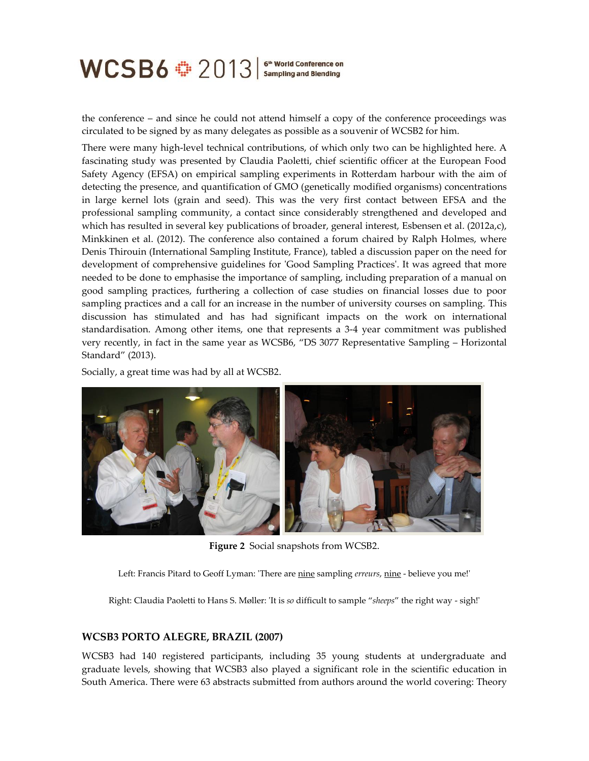### WCSB6<sup>:</sup> 2013 Sampling and Blending

the conference – and since he could not attend himself a copy of the conference proceedings was circulated to be signed by as many delegates as possible as a souvenir of WCSB2 for him.

There were many high-level technical contributions, of which only two can be highlighted here. A fascinating study was presented by Claudia Paoletti, chief scientific officer at the European Food Safety Agency (EFSA) on empirical sampling experiments in Rotterdam harbour with the aim of detecting the presence, and quantification of GMO (genetically modified organisms) concentrations in large kernel lots (grain and seed). This was the very first contact between EFSA and the professional sampling community, a contact since considerably strengthened and developed and which has resulted in several key publications of broader, general interest, Esbensen et al. (2012a,c), Minkkinen et al. (2012). The conference also contained a forum chaired by Ralph Holmes, where Denis Thirouin (International Sampling Institute, France), tabled a discussion paper on the need for development of comprehensive guidelines for 'Good Sampling Practices'. It was agreed that more needed to be done to emphasise the importance of sampling, including preparation of a manual on good sampling practices, furthering a collection of case studies on financial losses due to poor sampling practices and a call for an increase in the number of university courses on sampling. This discussion has stimulated and has had significant impacts on the work on international standardisation. Among other items, one that represents a 3-4 year commitment was published very recently, in fact in the same year as WCSB6, 'DS 3077 Representative Sampling – Horizontal Standard' (2013).

Socially, a great time was had by all at WCSB2.



**Figure 2** Social snapshots from WCSB2.

Left: Francis Pitard to Geoff Lyman: 'There are nine sampling erreurs, nine - believe you me!'

Right: Claudia Paoletti to Hans S. Møller: 'It is *so* difficult to sample '*sheeps*' the right way - sigh!'

#### **WCSB3 PORTO ALEGRE, BRAZIL (2007)**

WCSB3 had 140 registered participants, including 35 young students at undergraduate and graduate levels, showing that WCSB3 also played a significant role in the scientific education in South America. There were 63 abstracts submitted from authors around the world covering: Theory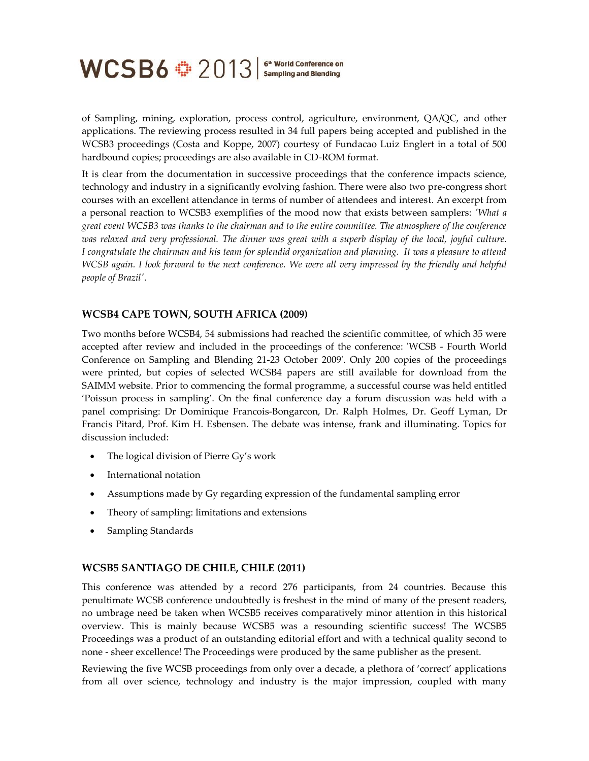# WCSB6<sup>:</sup> 2013 | Sampling and Blending

of Sampling, mining, exploration, process control, agriculture, environment, QA/QC, and other applications. The reviewing process resulted in 34 full papers being accepted and published in the WCSB3 proceedings (Costa and Koppe, 2007) courtesy of Fundacao Luiz Englert in a total of 500 hardbound copies; proceedings are also available in CD-ROM format.

It is clear from the documentation in successive proceedings that the conference impacts science, technology and industry in a significantly evolving fashion. There were also two pre-congress short courses with an excellent attendance in terms of number of attendees and interest. An excerpt from a personal reaction to WCSB3 exemplifies of the mood now that exists between samplers: *'What a great event WCSB3 was thanks to the chairman and to the entire committee. The atmosphere of the conference*  was relaxed and very professional. The dinner was great with a superb display of the local, joyful culture. *I congratulate the chairman and his team for splendid organization and planning. It was a pleasure to attend WCSB again. I look forward to the next conference. We were all very impressed by the friendly and helpful people of Brazil'*.

### **WCSB4 CAPE TOWN, SOUTH AFRICA (2009)**

Two months before WCSB4, 54 submissions had reached the scientific committee, of which 35 were accepted after review and included in the proceedings of the conference: 'WCSB - Fourth World Conference on Sampling and Blending 21-23 October 2009'. Only 200 copies of the proceedings were printed, but copies of selected WCSB4 papers are still available for download from the SAIMM website. Prior to commencing the formal programme, a successful course was held entitled 'Poisson process in sampling'. On the final conference day a forum discussion was held with a panel comprising: Dr Dominique Francois-Bongarcon, Dr. Ralph Holmes, Dr. Geoff Lyman, Dr Francis Pitard, Prof. Kim H. Esbensen. The debate was intense, frank and illuminating. Topics for discussion included:

- The logical division of Pierre Gy's work
- International notation
- Assumptions made by Gy regarding expression of the fundamental sampling error
- Theory of sampling: limitations and extensions
- Sampling Standards

#### **WCSB5 SANTIAGO DE CHILE, CHILE (2011)**

This conference was attended by a record 276 participants, from 24 countries. Because this penultimate WCSB conference undoubtedly is freshest in the mind of many of the present readers, no umbrage need be taken when WCSB5 receives comparatively minor attention in this historical overview. This is mainly because WCSB5 was a resounding scientific success! The WCSB5 Proceedings was a product of an outstanding editorial effort and with a technical quality second to none - sheer excellence! The Proceedings were produced by the same publisher as the present.

Reviewing the five WCSB proceedings from only over a decade, a plethora of 'correct' applications from all over science, technology and industry is the major impression, coupled with many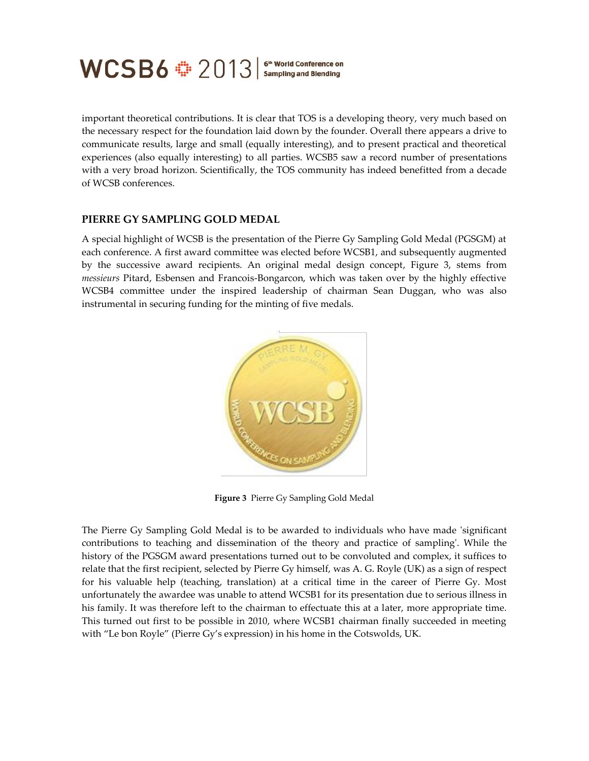

important theoretical contributions. It is clear that TOS is a developing theory, very much based on the necessary respect for the foundation laid down by the founder. Overall there appears a drive to communicate results, large and small (equally interesting), and to present practical and theoretical experiences (also equally interesting) to all parties. WCSB5 saw a record number of presentations with a very broad horizon. Scientifically, the TOS community has indeed benefitted from a decade of WCSB conferences.

#### **PIERRE GY SAMPLING GOLD MEDAL**

A special highlight of WCSB is the presentation of the Pierre Gy Sampling Gold Medal (PGSGM) at each conference. A first award committee was elected before WCSB1, and subsequently augmented by the successive award recipients. An original medal design concept, Figure 3, stems from *messieurs* Pitard, Esbensen and Francois-Bongarcon, which was taken over by the highly effective WCSB4 committee under the inspired leadership of chairman Sean Duggan, who was also instrumental in securing funding for the minting of five medals.



**Figure 3** Pierre Gy Sampling Gold Medal

The Pierre Gy Sampling Gold Medal is to be awarded to individuals who have made 'significant contributions to teaching and dissemination of the theory and practice of sampling'. While the history of the PGSGM award presentations turned out to be convoluted and complex, it suffices to relate that the first recipient, selected by Pierre Gy himself, was A. G. Royle (UK) as a sign of respect for his valuable help (teaching, translation) at a critical time in the career of Pierre Gy. Most unfortunately the awardee was unable to attend WCSB1 for its presentation due to serious illness in his family. It was therefore left to the chairman to effectuate this at a later, more appropriate time. This turned out first to be possible in 2010, where WCSB1 chairman finally succeeded in meeting with 'Le bon Royle' (Pierre Gy's expression) in his home in the Cotswolds, UK.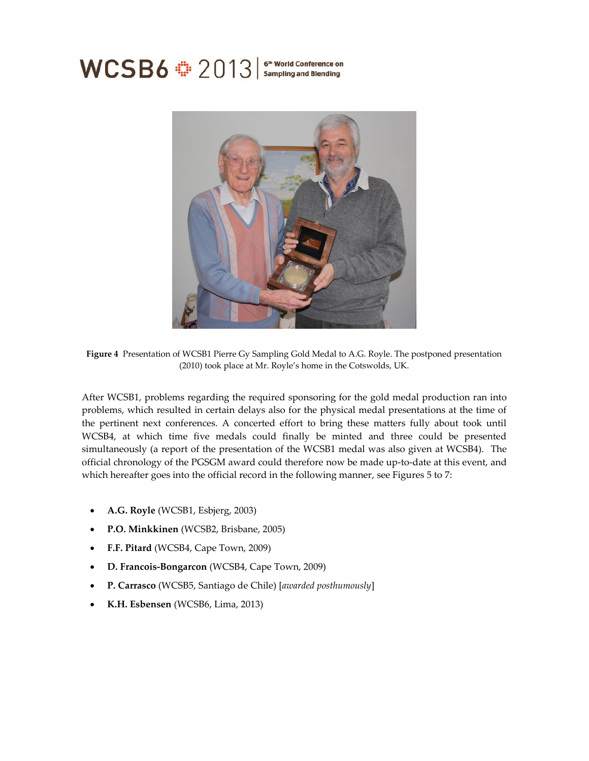## WCSB6<sup>:</sup> 2013 Sampling and Blending



**Figure 4** Presentation of WCSB1 Pierre Gy Sampling Gold Medal to A.G. Royle. The postponed presentation (2010) took place at Mr. Royle's home in the Cotswolds, UK.

After WCSB1, problems regarding the required sponsoring for the gold medal production ran into problems, which resulted in certain delays also for the physical medal presentations at the time of the pertinent next conferences. A concerted effort to bring these matters fully about took until WCSB4, at which time five medals could finally be minted and three could be presented simultaneously (a report of the presentation of the WCSB1 medal was also given at WCSB4). The official chronology of the PGSGM award could therefore now be made up-to-date at this event, and which hereafter goes into the official record in the following manner, see Figures 5 to 7:

- **A.G. Royle** (WCSB1, Esbjerg, 2003)
- **P.O. Minkkinen** (WCSB2, Brisbane, 2005)
- **F.F. Pitard** (WCSB4, Cape Town, 2009)
- **D. Francois-Bongarcon** (WCSB4, Cape Town, 2009)
- **P. Carrasco** (WCSB5, Santiago de Chile) [*awarded posthumously*]
- **K.H. Esbensen** (WCSB6, Lima, 2013)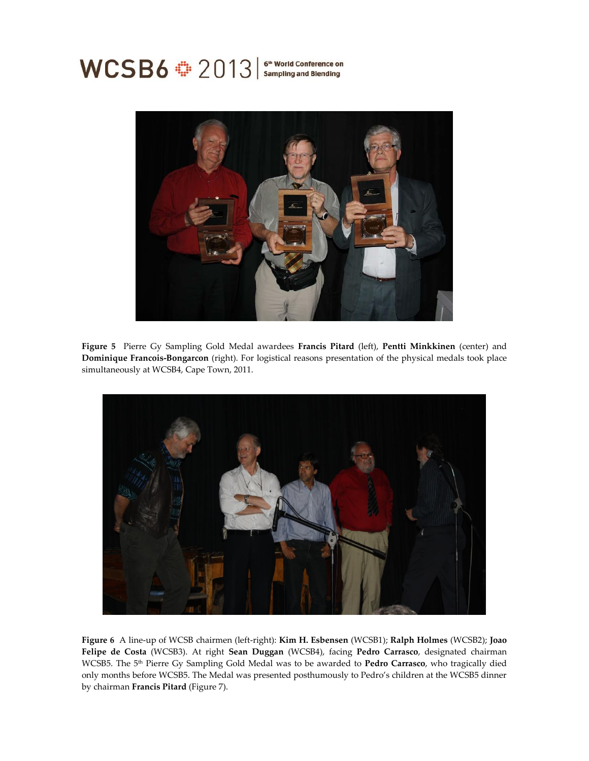# WCSB6<sup>:</sup> 2013 | Sampling and Blending



**Figure 5** Pierre Gy Sampling Gold Medal awardees **Francis Pitard** (left), **Pentti Minkkinen** (center) and **Dominique Francois-Bongarcon** (right). For logistical reasons presentation of the physical medals took place simultaneously at WCSB4, Cape Town, 2011.



**Figure 6** A line-up of WCSB chairmen (left-right): **Kim H. Esbensen** (WCSB1); **Ralph Holmes** (WCSB2); **Joao Felipe de Costa** (WCSB3). At right **Sean Duggan** (WCSB4), facing **Pedro Carrasco**, designated chairman WCSB5. The 5th Pierre Gy Sampling Gold Medal was to be awarded to **Pedro Carrasco**, who tragically died only months before WCSB5. The Medal was presented posthumously to Pedro's children at the WCSB5 dinner by chairman **Francis Pitard** (Figure 7).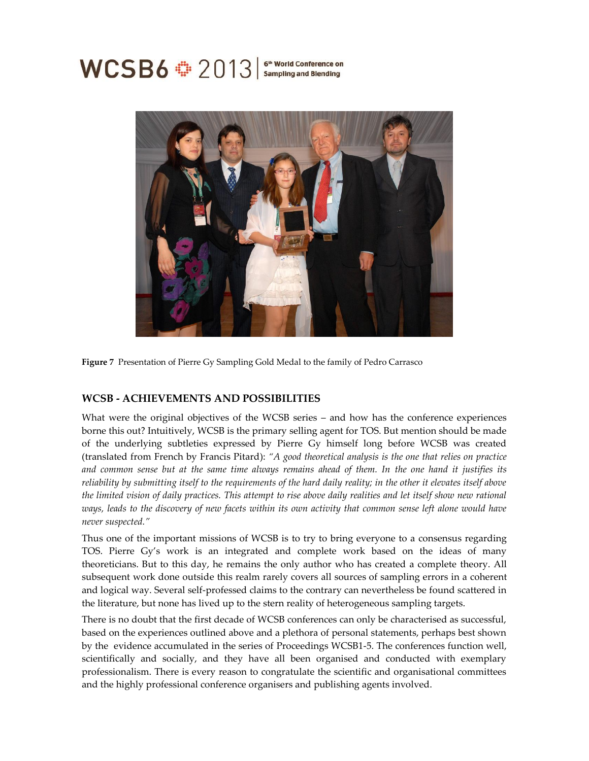

**Figure 7** Presentation of Pierre Gy Sampling Gold Medal to the family of Pedro Carrasco

### **WCSB - ACHIEVEMENTS AND POSSIBILITIES**

What were the original objectives of the WCSB series – and how has the conference experiences borne this out? Intuitively, WCSB is the primary selling agent for TOS. But mention should be made of the underlying subtleties expressed by Pierre Gy himself long before WCSB was created (translated from French by Francis Pitard): *"A good theoretical analysis is the one that relies on practice and common sense but at the same time always remains ahead of them. In the one hand it justifies its reliability by submitting itself to the requirements of the hard daily reality; in the other it elevates itself above the limited vision of daily practices. This attempt to rise above daily realities and let itself show new rational ways, leads to the discovery of new facets within its own activity that common sense left alone would have never suspected."*

Thus one of the important missions of WCSB is to try to bring everyone to a consensus regarding TOS. Pierre Gy's work is an integrated and complete work based on the ideas of many theoreticians. But to this day, he remains the only author who has created a complete theory. All subsequent work done outside this realm rarely covers all sources of sampling errors in a coherent and logical way. Several self-professed claims to the contrary can nevertheless be found scattered in the literature, but none has lived up to the stern reality of heterogeneous sampling targets.

There is no doubt that the first decade of WCSB conferences can only be characterised as successful, based on the experiences outlined above and a plethora of personal statements, perhaps best shown by the evidence accumulated in the series of Proceedings WCSB1-5. The conferences function well, scientifically and socially, and they have all been organised and conducted with exemplary professionalism. There is every reason to congratulate the scientific and organisational committees and the highly professional conference organisers and publishing agents involved.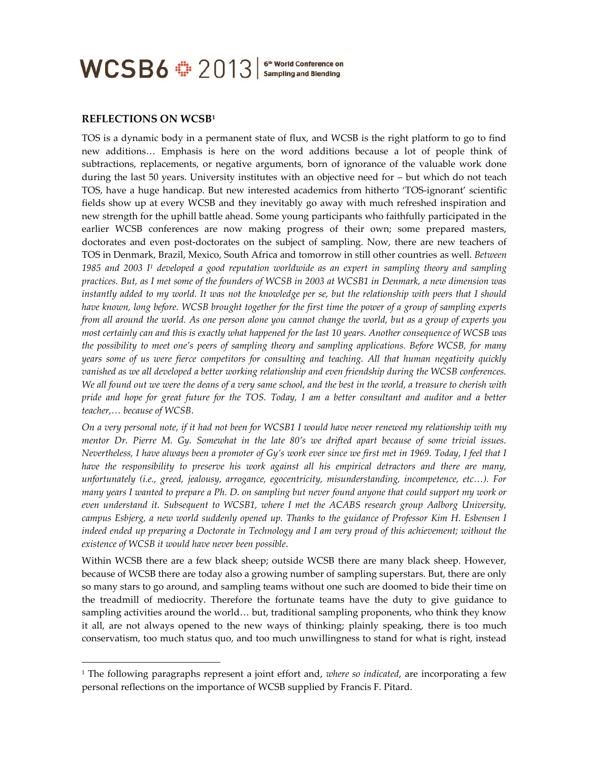### **REFLECTIONS ON WCSB<sup>1</sup>**

-

TOS is a dynamic body in a permanent state of flux, and WCSB is the right platform to go to find new additions… Emphasis is here on the word additions because a lot of people think of subtractions, replacements, or negative arguments, born of ignorance of the valuable work done during the last 50 years. University institutes with an objective need for – but which do not teach TOS, have a huge handicap. But new interested academics from hitherto 'TOS-ignorant' scientific fields show up at every WCSB and they inevitably go away with much refreshed inspiration and new strength for the uphill battle ahead. Some young participants who faithfully participated in the earlier WCSB conferences are now making progress of their own; some prepared masters, doctorates and even post-doctorates on the subject of sampling. Now, there are new teachers of TOS in Denmark, Brazil, Mexico, South Africa and tomorrow in still other countries as well. *Between 1985 and 2003 I<sup>1</sup> developed a good reputation worldwide as an expert in sampling theory and sampling practices. But, as I met some of the founders of WCSB in 2003 at WCSB1 in Denmark, a new dimension was instantly added to my world. It was not the knowledge per se, but the relationship with peers that I should have known, long before. WCSB brought together for the first time the power of a group of sampling experts from all around the world. As one person alone you cannot change the world, but as a group of experts you most certainly can and this is exactly what happened for the last 10 years. Another consequence of WCSB was the possibility to meet one's peers of sampling theory and sampling applications. Before WCSB, for many years some of us were fierce competitors for consulting and teaching. All that human negativity quickly vanished as we all developed a better working relationship and even friendship during the WCSB conferences. We all found out we were the deans of a very same school, and the best in the world, a treasure to cherish with pride and hope for great future for the TOS. Today, I am a better consultant and auditor and a better teacher,… because of WCSB*.

*On a very personal note, if it had not been for WCSB1 I would have never renewed my relationship with my mentor Dr. Pierre M. Gy. Somewhat in the late 80's we drifted apart because of some trivial issues. Nevertheless, I have always been a promoter of Gy's work ever since we first met in 1969. Today, I feel that I have the responsibility to preserve his work against all his empirical detractors and there are many, unfortunately (i.e., greed, jealousy, arrogance, egocentricity, misunderstanding, incompetence, etc…). For many years I wanted to prepare a Ph. D. on sampling but never found anyone that could support my work or even understand it. Subsequent to WCSB1, where I met the ACABS research group Aalborg University, campus Esbjerg, a new world suddenly opened up. Thanks to the guidance of Professor Kim H. Esbensen I indeed ended up preparing a Doctorate in Technology and I am very proud of this achievement; without the existence of WCSB it would have never been possible*.

Within WCSB there are a few black sheep; outside WCSB there are many black sheep. However, because of WCSB there are today also a growing number of sampling superstars. But, there are only so many stars to go around, and sampling teams without one such are doomed to bide their time on the treadmill of mediocrity. Therefore the fortunate teams have the duty to give guidance to sampling activities around the world… but, traditional sampling proponents, who think they know it all, are not always opened to the new ways of thinking; plainly speaking, there is too much conservatism, too much status quo, and too much unwillingness to stand for what is right, instead

<sup>1</sup> The following paragraphs represent a joint effort and, *where so indicated*, are incorporating a few personal reflections on the importance of WCSB supplied by Francis F. Pitard.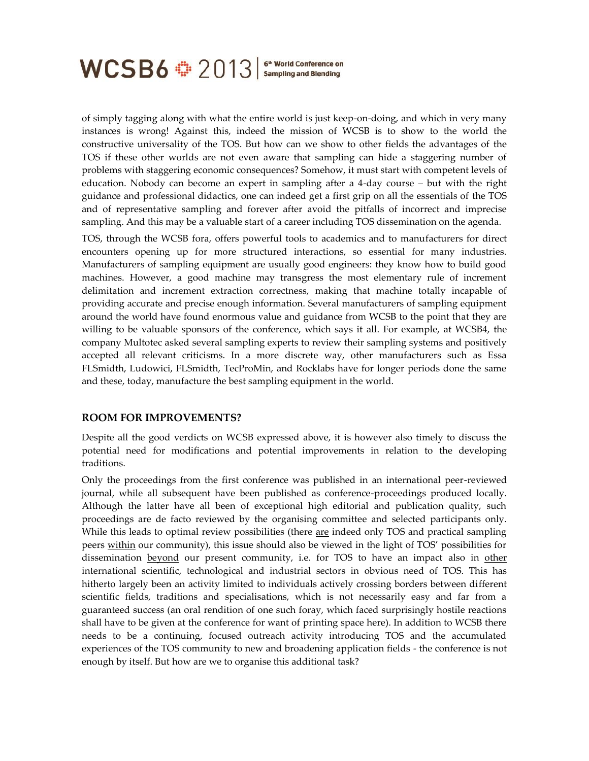## WCSB6<sup>:</sup> 2013 | Sampling and Blending

of simply tagging along with what the entire world is just keep-on-doing, and which in very many instances is wrong! Against this, indeed the mission of WCSB is to show to the world the constructive universality of the TOS. But how can we show to other fields the advantages of the TOS if these other worlds are not even aware that sampling can hide a staggering number of problems with staggering economic consequences? Somehow, it must start with competent levels of education. Nobody can become an expert in sampling after a 4-day course – but with the right guidance and professional didactics, one can indeed get a first grip on all the essentials of the TOS and of representative sampling and forever after avoid the pitfalls of incorrect and imprecise sampling. And this may be a valuable start of a career including TOS dissemination on the agenda.

TOS, through the WCSB fora, offers powerful tools to academics and to manufacturers for direct encounters opening up for more structured interactions, so essential for many industries. Manufacturers of sampling equipment are usually good engineers: they know how to build good machines. However, a good machine may transgress the most elementary rule of increment delimitation and increment extraction correctness, making that machine totally incapable of providing accurate and precise enough information. Several manufacturers of sampling equipment around the world have found enormous value and guidance from WCSB to the point that they are willing to be valuable sponsors of the conference, which says it all. For example, at WCSB4, the company Multotec asked several sampling experts to review their sampling systems and positively accepted all relevant criticisms. In a more discrete way, other manufacturers such as Essa FLSmidth, Ludowici, FLSmidth, TecProMin, and Rocklabs have for longer periods done the same and these, today, manufacture the best sampling equipment in the world.

#### **ROOM FOR IMPROVEMENTS?**

Despite all the good verdicts on WCSB expressed above, it is however also timely to discuss the potential need for modifications and potential improvements in relation to the developing traditions.

Only the proceedings from the first conference was published in an international peer-reviewed journal, while all subsequent have been published as conference-proceedings produced locally. Although the latter have all been of exceptional high editorial and publication quality, such proceedings are de facto reviewed by the organising committee and selected participants only. While this leads to optimal review possibilities (there are indeed only TOS and practical sampling peers within our community), this issue should also be viewed in the light of TOS' possibilities for dissemination beyond our present community, i.e. for TOS to have an impact also in other international scientific, technological and industrial sectors in obvious need of TOS. This has hitherto largely been an activity limited to individuals actively crossing borders between different scientific fields, traditions and specialisations, which is not necessarily easy and far from a guaranteed success (an oral rendition of one such foray, which faced surprisingly hostile reactions shall have to be given at the conference for want of printing space here). In addition to WCSB there needs to be a continuing, focused outreach activity introducing TOS and the accumulated experiences of the TOS community to new and broadening application fields - the conference is not enough by itself. But how are we to organise this additional task?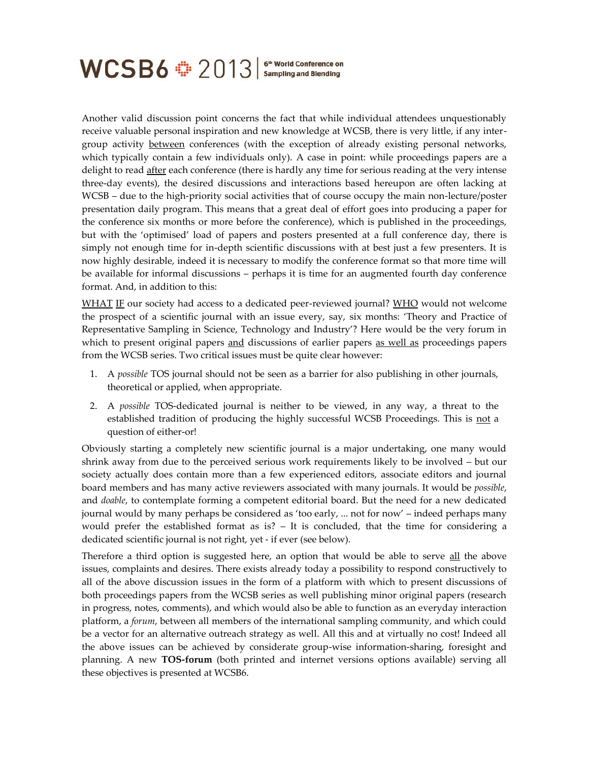Another valid discussion point concerns the fact that while individual attendees unquestionably receive valuable personal inspiration and new knowledge at WCSB, there is very little, if any intergroup activity between conferences (with the exception of already existing personal networks, which typically contain a few individuals only). A case in point: while proceedings papers are a delight to read after each conference (there is hardly any time for serious reading at the very intense three-day events), the desired discussions and interactions based hereupon are often lacking at WCSB – due to the high-priority social activities that of course occupy the main non-lecture/poster presentation daily program. This means that a great deal of effort goes into producing a paper for the conference six months or more before the conference), which is published in the proceedings, but with the 'optimised' load of papers and posters presented at a full conference day, there is simply not enough time for in-depth scientific discussions with at best just a few presenters. It is now highly desirable, indeed it is necessary to modify the conference format so that more time will be available for informal discussions – perhaps it is time for an augmented fourth day conference format. And, in addition to this:

WHAT IF our society had access to a dedicated peer-reviewed journal? WHO would not welcome the prospect of a scientific journal with an issue every, say, six months: 'Theory and Practice of Representative Sampling in Science, Technology and Industry'? Here would be the very forum in which to present original papers and discussions of earlier papers as well as proceedings papers from the WCSB series. Two critical issues must be quite clear however:

- 1. A *possible* TOS journal should not be seen as a barrier for also publishing in other journals, theoretical or applied, when appropriate.
- 2. A *possible* TOS-dedicated journal is neither to be viewed, in any way, a threat to the established tradition of producing the highly successful WCSB Proceedings. This is not a question of either-or!

Obviously starting a completely new scientific journal is a major undertaking, one many would shrink away from due to the perceived serious work requirements likely to be involved – but our society actually does contain more than a few experienced editors, associate editors and journal board members and has many active reviewers associated with many journals. It would be *possible*, and *doable*, to contemplate forming a competent editorial board. But the need for a new dedicated journal would by many perhaps be considered as 'too early, ... not for now' – indeed perhaps many would prefer the established format as is? – It is concluded, that the time for considering a dedicated scientific journal is not right, yet - if ever (see below).

Therefore a third option is suggested here, an option that would be able to serve all the above issues, complaints and desires. There exists already today a possibility to respond constructively to all of the above discussion issues in the form of a platform with which to present discussions of both proceedings papers from the WCSB series as well publishing minor original papers (research in progress, notes, comments), and which would also be able to function as an everyday interaction platform, a *forum*, between all members of the international sampling community, and which could be a vector for an alternative outreach strategy as well. All this and at virtually no cost! Indeed all the above issues can be achieved by considerate group-wise information-sharing, foresight and planning. A new **TOS-forum** (both printed and internet versions options available) serving all these objectives is presented at WCSB6.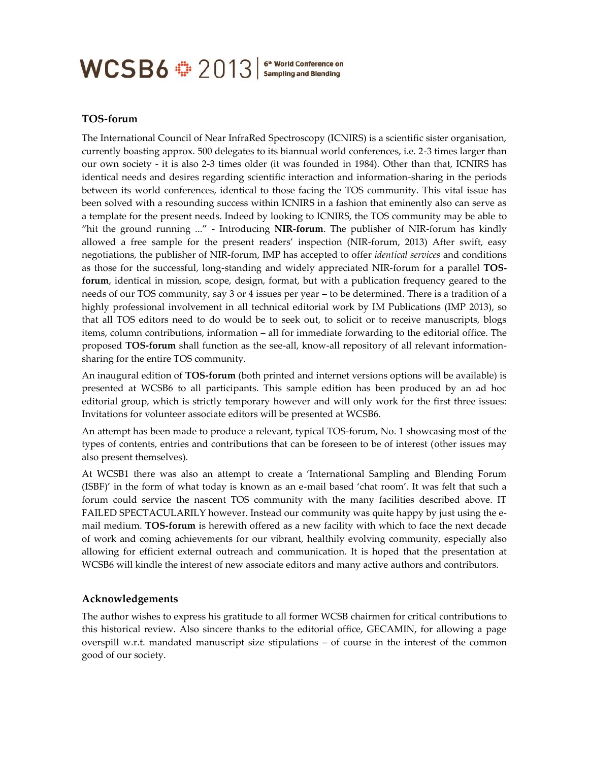### **TOS-forum**

The International Council of Near InfraRed Spectroscopy (ICNIRS) is a scientific sister organisation, currently boasting approx. 500 delegates to its biannual world conferences, i.e. 2-3 times larger than our own society - it is also 2-3 times older (it was founded in 1984). Other than that, ICNIRS has identical needs and desires regarding scientific interaction and information-sharing in the periods between its world conferences, identical to those facing the TOS community. This vital issue has been solved with a resounding success within ICNIRS in a fashion that eminently also can serve as a template for the present needs. Indeed by looking to ICNIRS, the TOS community may be able to 'hit the ground running ...' - Introducing **NIR-forum**. The publisher of NIR-forum has kindly allowed a free sample for the present readers' inspection (NIR-forum, 2013) After swift, easy negotiations, the publisher of NIR-forum, IMP has accepted to offer *identical services* and conditions as those for the successful, long-standing and widely appreciated NIR-forum for a parallel **TOSforum**, identical in mission, scope, design, format, but with a publication frequency geared to the needs of our TOS community, say 3 or 4 issues per year – to be determined. There is a tradition of a highly professional involvement in all technical editorial work by IM Publications (IMP 2013), so that all TOS editors need to do would be to seek out, to solicit or to receive manuscripts, blogs items, column contributions, information – all for immediate forwarding to the editorial office. The proposed **TOS-forum** shall function as the see-all, know-all repository of all relevant informationsharing for the entire TOS community.

An inaugural edition of **TOS-forum** (both printed and internet versions options will be available) is presented at WCSB6 to all participants. This sample edition has been produced by an ad hoc editorial group, which is strictly temporary however and will only work for the first three issues: Invitations for volunteer associate editors will be presented at WCSB6.

An attempt has been made to produce a relevant, typical TOS-forum, No. 1 showcasing most of the types of contents, entries and contributions that can be foreseen to be of interest (other issues may also present themselves).

At WCSB1 there was also an attempt to create a 'International Sampling and Blending Forum (ISBF)' in the form of what today is known as an e-mail based 'chat room'. It was felt that such a forum could service the nascent TOS community with the many facilities described above. IT FAILED SPECTACULARILY however. Instead our community was quite happy by just using the email medium. **TOS-forum** is herewith offered as a new facility with which to face the next decade of work and coming achievements for our vibrant, healthily evolving community, especially also allowing for efficient external outreach and communication. It is hoped that the presentation at WCSB6 will kindle the interest of new associate editors and many active authors and contributors.

#### **Acknowledgements**

The author wishes to express his gratitude to all former WCSB chairmen for critical contributions to this historical review. Also sincere thanks to the editorial office, GECAMIN, for allowing a page overspill w.r.t. mandated manuscript size stipulations – of course in the interest of the common good of our society.